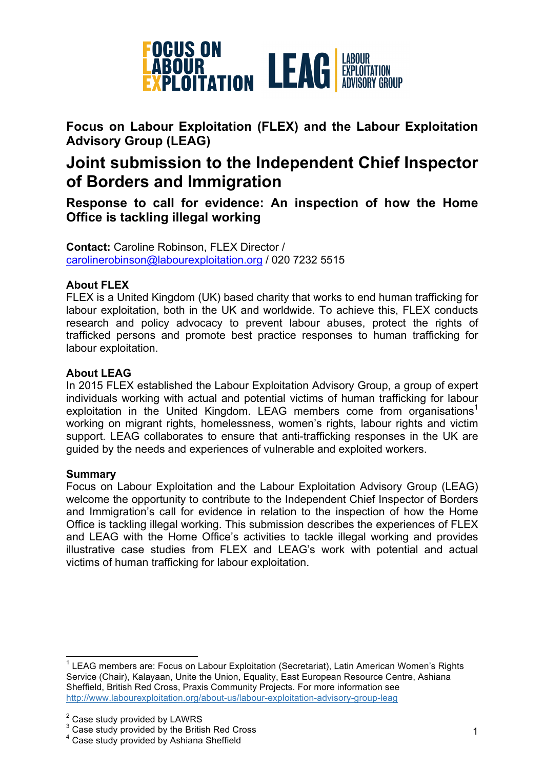

**Focus on Labour Exploitation (FLEX) and the Labour Exploitation Advisory Group (LEAG)**

# **Joint submission to the Independent Chief Inspector of Borders and Immigration**

**Response to call for evidence: An inspection of how the Home Office is tackling illegal working**

**Contact:** Caroline Robinson, FLEX Director / carolinerobinson@labourexploitation.org / 020 7232 5515

# **About FLEX**

FLEX is a United Kingdom (UK) based charity that works to end human trafficking for labour exploitation, both in the UK and worldwide. To achieve this, FLEX conducts research and policy advocacy to prevent labour abuses, protect the rights of trafficked persons and promote best practice responses to human trafficking for labour exploitation.

## **About LEAG**

In 2015 FLEX established the Labour Exploitation Advisory Group, a group of expert individuals working with actual and potential victims of human trafficking for labour exploitation in the United Kingdom. LEAG members come from organisations<sup>1</sup> working on migrant rights, homelessness, women's rights, labour rights and victim support. LEAG collaborates to ensure that anti-trafficking responses in the UK are guided by the needs and experiences of vulnerable and exploited workers.

## **Summary**

Focus on Labour Exploitation and the Labour Exploitation Advisory Group (LEAG) welcome the opportunity to contribute to the Independent Chief Inspector of Borders and Immigration's call for evidence in relation to the inspection of how the Home Office is tackling illegal working. This submission describes the experiences of FLEX and LEAG with the Home Office's activities to tackle illegal working and provides illustrative case studies from FLEX and LEAG's work with potential and actual victims of human trafficking for labour exploitation.

 <sup>1</sup> LEAG members are: Focus on Labour Exploitation (Secretariat), Latin American Women's Rights Service (Chair), Kalayaan, Unite the Union, Equality, East European Resource Centre, Ashiana Sheffield, British Red Cross, Praxis Community Projects. For more information see http://www.labourexploitation.org/about-us/labour-exploitation-advisory-group-leag

<sup>&</sup>lt;sup>2</sup> Case study provided by LAWRS

<sup>&</sup>lt;sup>3</sup> Case study provided by the British Red Cross

<sup>4</sup> Case study provided by Ashiana Sheffield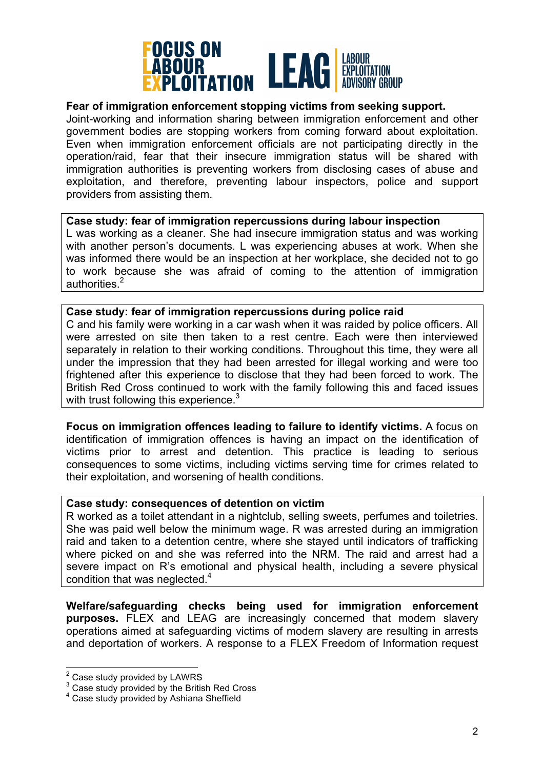

# **Fear of immigration enforcement stopping victims from seeking support.**

Joint-working and information sharing between immigration enforcement and other government bodies are stopping workers from coming forward about exploitation. Even when immigration enforcement officials are not participating directly in the operation/raid, fear that their insecure immigration status will be shared with immigration authorities is preventing workers from disclosing cases of abuse and exploitation, and therefore, preventing labour inspectors, police and support providers from assisting them.

#### **Case study: fear of immigration repercussions during labour inspection**

L was working as a cleaner. She had insecure immigration status and was working with another person's documents. L was experiencing abuses at work. When she was informed there would be an inspection at her workplace, she decided not to go to work because she was afraid of coming to the attention of immigration authorities.<sup>2</sup>

#### **Case study: fear of immigration repercussions during police raid**

C and his family were working in a car wash when it was raided by police officers. All were arrested on site then taken to a rest centre. Each were then interviewed separately in relation to their working conditions. Throughout this time, they were all under the impression that they had been arrested for illegal working and were too frightened after this experience to disclose that they had been forced to work. The British Red Cross continued to work with the family following this and faced issues with trust following this experience.<sup>3</sup>

**Focus on immigration offences leading to failure to identify victims.** A focus on identification of immigration offences is having an impact on the identification of victims prior to arrest and detention. This practice is leading to serious consequences to some victims, including victims serving time for crimes related to their exploitation, and worsening of health conditions.

#### **Case study: consequences of detention on victim**

R worked as a toilet attendant in a nightclub, selling sweets, perfumes and toiletries. She was paid well below the minimum wage. R was arrested during an immigration raid and taken to a detention centre, where she stayed until indicators of trafficking where picked on and she was referred into the NRM. The raid and arrest had a severe impact on R's emotional and physical health, including a severe physical condition that was neglected.<sup>4</sup>

**Welfare/safeguarding checks being used for immigration enforcement purposes.** FLEX and LEAG are increasingly concerned that modern slavery operations aimed at safeguarding victims of modern slavery are resulting in arrests and deportation of workers. A response to a FLEX Freedom of Information request

<sup>&</sup>lt;sup>2</sup> Case study provided by LAWRS

<sup>&</sup>lt;sup>3</sup> Case study provided by the British Red Cross<br><sup>4</sup> Case study provided by Ashiana Sheffield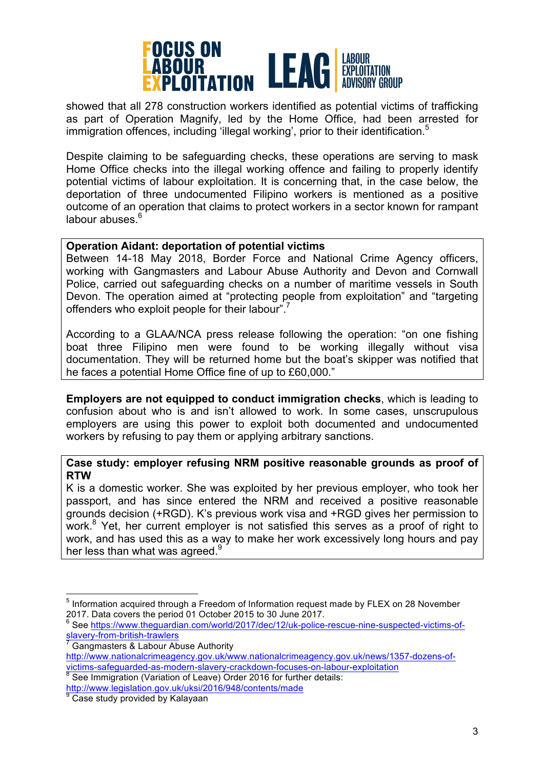

showed that all 278 construction workers identified as potential victims of trafficking as part of Operation Magnify, led by the Home Office, had been arrested for immigration offences, including 'illegal working', prior to their identification.<sup>5</sup>

Despite claiming to be safeguarding checks, these operations are serving to mask Home Office checks into the illegal working offence and failing to properly identify potential victims of labour exploitation. It is concerning that, in the case below, the deportation of three undocumented Filipino workers is mentioned as a positive outcome of an operation that claims to protect workers in a sector known for rampant labour abuses.<sup>6</sup>

# **Operation Aidant: deportation of potential victims**

Between 14-18 May 2018, Border Force and National Crime Agency officers, working with Gangmasters and Labour Abuse Authority and Devon and Cornwall Police, carried out safeguarding checks on a number of maritime vessels in South Devon. The operation aimed at "protecting people from exploitation" and "targeting offenders who exploit people for their labour".<sup>7</sup>

According to a GLAA/NCA press release following the operation: "on one fishing boat three Filipino men were found to be working illegally without visa documentation. They will be returned home but the boat's skipper was notified that he faces a potential Home Office fine of up to £60,000."

**Employers are not equipped to conduct immigration checks**, which is leading to confusion about who is and isn't allowed to work. In some cases, unscrupulous employers are using this power to exploit both documented and undocumented workers by refusing to pay them or applying arbitrary sanctions.

## **Case study: employer refusing NRM positive reasonable grounds as proof of RTW**

K is a domestic worker. She was exploited by her previous employer, who took her passport, and has since entered the NRM and received a positive reasonable grounds decision (+RGD). K's previous work visa and +RGD gives her permission to work.<sup>8</sup> Yet, her current employer is not satisfied this serves as a proof of right to work, and has used this as a way to make her work excessively long hours and pay her less than what was agreed. $^9$ 

<sup>&</sup>lt;sup>5</sup> Information acquired through a Freedom of Information request made by FLEX on 28 November 2017. Data covers the period 01 October 2015 to 30 June 2017.

<sup>6</sup> See https://www.theguardian.com/world/2017/dec/12/uk-police-rescue-nine-suspected-victims-ofslavery-from-british-trawlers

<sup>7</sup> Gangmasters & Labour Abuse Authority http://www.nationalcrimeagency.gov.uk/www.nationalcrimeagency.gov.uk/news/1357-dozens-ofvictims-safeguarded-as-modern-slavery-crackdown-focuses-on-labour-exploitation 8<br>
<sup>8</sup> See Immigration (Variation of Leave) Order 2016 for further details:

http://www.legislation.gov.uk/uksi/2016/948/contents/made

<sup>&</sup>lt;sup>9</sup> Case study provided by Kalayaan